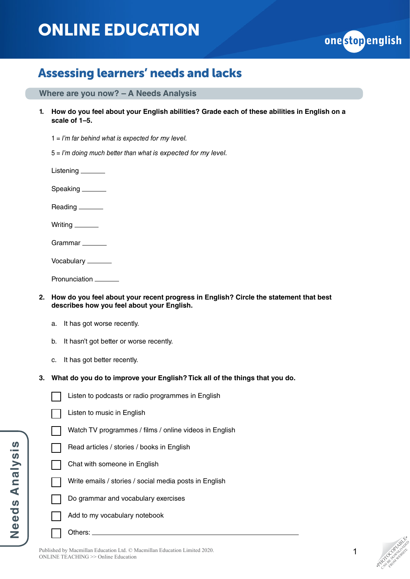# ONLINE EDUCATION



### Assessing learners' needs and lacks

**Where are you now? – A Needs Analysis**

**1. How do you feel about your English abilities? Grade each of these abilities in English on a scale of 1–5.**

1 = *I'm far behind what is expected for my level.*

5 = *I'm doing much better than what is expected for my level.*

Listening

Speaking

Reading \_\_\_\_\_\_\_

Writing \_\_\_\_\_\_\_\_

Grammar

Vocabulary

Pronunciation \_\_\_\_\_\_

- **2. How do you feel about your recent progress in English? Circle the statement that best describes how you feel about your English.**
	- a. It has got worse recently.
	- b. It hasn't got better or worse recently.
	- c. It has got better recently.
- **3. What do you do to improve your English? Tick all of the things that you do.**

**Needs Analysis Needs Analysis** Listen to music in English

Watch TV programmes / films / online videos in English

Listen to podcasts or radio programmes in English

- Read articles / stories / books in English
- Chat with someone in English
	- Write emails / stories / social media posts in English
- Do grammar and vocabulary exercises
	- Add to my vocabulary notebook

Others: \_

Published by Macmillan Education Ltd. © Macmillan Education Limited 2020. ONLINE TEACHING >> Online Education

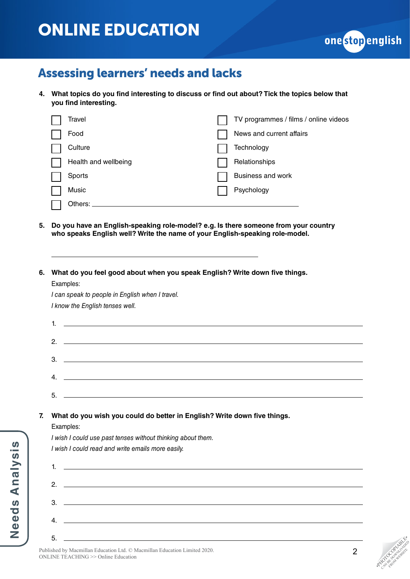## ONLINE EDUCATION



### Assessing learners' needs and lacks

**4. What topics do you find interesting to discuss or find out about? Tick the topics below that you find interesting.**

| Travel               | TV programmes / films / online videos |
|----------------------|---------------------------------------|
| Food                 | News and current affairs              |
| Culture              | Technology                            |
| Health and wellbeing | Relationships                         |
| Sports               | Business and work                     |
| Music                | Psychology                            |
| Others:              |                                       |

- **5. Do you have an English-speaking role-model? e.g. Is there someone from your country who speaks English well? Write the name of your English-speaking role-model.**
- **6. What do you feel good about when you speak English? Write down five things.**

Examples:

*I can speak to people in English when I travel. I know the English tenses well.*

#### **7. What do you wish you could do better in English? Write down five things.**

Examples:

*I wish I could read and write emails more easily.* 1.  $2. -$ 3. 4. 5.

Needs Analysis **Needs Analysis** *I wish I could use past tenses without thinking about them.*